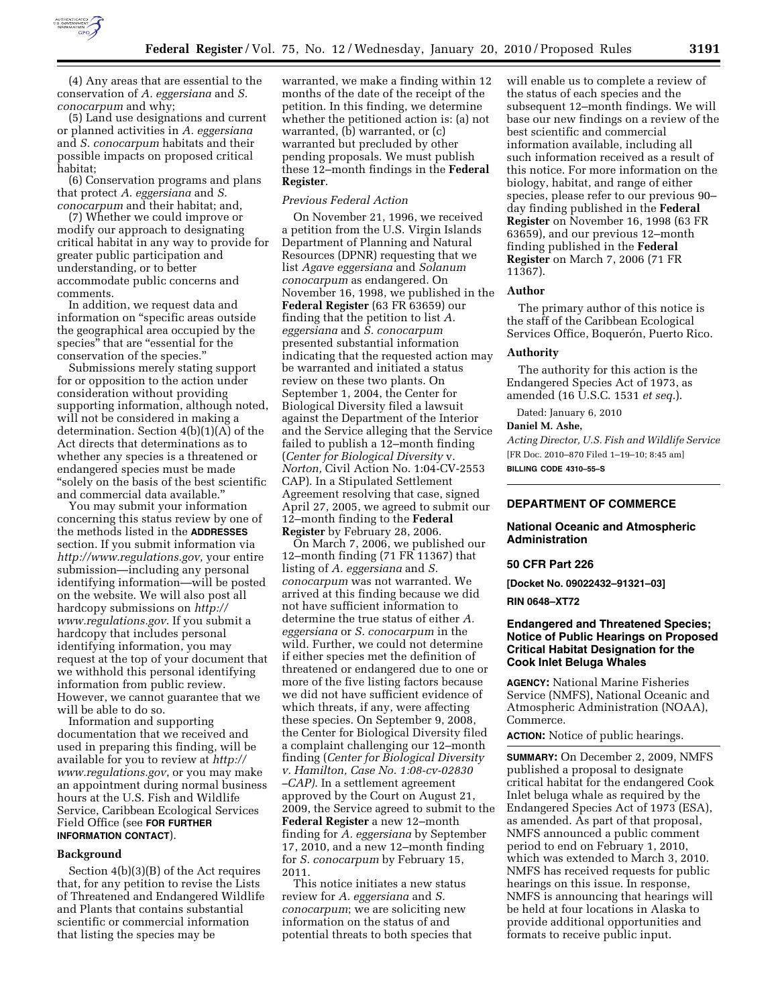

(4) Any areas that are essential to the conservation of *A. eggersiana* and *S. conocarpum* and why;

(5) Land use designations and current or planned activities in *A. eggersiana*  and *S. conocarpum* habitats and their possible impacts on proposed critical habitat;

(6) Conservation programs and plans that protect *A. eggersiana* and *S. conocarpum* and their habitat; and,

(7) Whether we could improve or modify our approach to designating critical habitat in any way to provide for greater public participation and understanding, or to better accommodate public concerns and comments.

In addition, we request data and information on ''specific areas outside the geographical area occupied by the species" that are "essential for the conservation of the species.''

Submissions merely stating support for or opposition to the action under consideration without providing supporting information, although noted, will not be considered in making a determination. Section 4(b)(1)(A) of the Act directs that determinations as to whether any species is a threatened or endangered species must be made ''solely on the basis of the best scientific and commercial data available.''

You may submit your information concerning this status review by one of the methods listed in the **ADDRESSES** section. If you submit information via *http://www.regulations.gov*, your entire submission—including any personal identifying information—will be posted on the website. We will also post all hardcopy submissions on *http:// www.regulations.gov*. If you submit a hardcopy that includes personal identifying information, you may request at the top of your document that we withhold this personal identifying information from public review. However, we cannot guarantee that we will be able to do so.

Information and supporting documentation that we received and used in preparing this finding, will be available for you to review at *http:// www.regulations.gov*, or you may make an appointment during normal business hours at the U.S. Fish and Wildlife Service, Caribbean Ecological Services Field Office (see **FOR FURTHER INFORMATION CONTACT**).

#### **Background**

Section 4(b)(3)(B) of the Act requires that, for any petition to revise the Lists of Threatened and Endangered Wildlife and Plants that contains substantial scientific or commercial information that listing the species may be

warranted, we make a finding within 12 months of the date of the receipt of the petition. In this finding, we determine whether the petitioned action is: (a) not warranted, (b) warranted, or (c) warranted but precluded by other pending proposals. We must publish these 12–month findings in the **Federal Register**.

# *Previous Federal Action*

On November 21, 1996, we received a petition from the U.S. Virgin Islands Department of Planning and Natural Resources (DPNR) requesting that we list *Agave eggersiana* and *Solanum conocarpum* as endangered. On November 16, 1998, we published in the **Federal Register** (63 FR 63659) our finding that the petition to list *A. eggersiana* and *S. conocarpum*  presented substantial information indicating that the requested action may be warranted and initiated a status review on these two plants. On September 1, 2004, the Center for Biological Diversity filed a lawsuit against the Department of the Interior and the Service alleging that the Service failed to publish a 12–month finding (*Center for Biological Diversity* v. *Norton,* Civil Action No. 1:04-CV-2553 CAP). In a Stipulated Settlement Agreement resolving that case, signed April 27, 2005, we agreed to submit our 12–month finding to the **Federal Register** by February 28, 2006.

On March 7, 2006, we published our 12–month finding (71 FR 11367) that listing of *A. eggersiana* and *S. conocarpum* was not warranted. We arrived at this finding because we did not have sufficient information to determine the true status of either *A. eggersiana* or *S. conocarpum* in the wild. Further, we could not determine if either species met the definition of threatened or endangered due to one or more of the five listing factors because we did not have sufficient evidence of which threats, if any, were affecting these species. On September 9, 2008, the Center for Biological Diversity filed a complaint challenging our 12–month finding (*Center for Biological Diversity v. Hamilton, Case No. 1:08-cv-02830 –CAP)*. In a settlement agreement approved by the Court on August 21, 2009, the Service agreed to submit to the **Federal Register** a new 12–month finding for *A. eggersiana* by September 17, 2010, and a new 12–month finding for *S. conocarpum* by February 15, 2011.

This notice initiates a new status review for *A. eggersiana* and *S. conocarpum*; we are soliciting new information on the status of and potential threats to both species that will enable us to complete a review of the status of each species and the subsequent 12–month findings. We will base our new findings on a review of the best scientific and commercial information available, including all such information received as a result of this notice. For more information on the biology, habitat, and range of either species, please refer to our previous 90– day finding published in the **Federal Register** on November 16, 1998 (63 FR 63659), and our previous 12–month finding published in the **Federal Register** on March 7, 2006 (71 FR 11367).

# **Author**

The primary author of this notice is the staff of the Caribbean Ecological Services Office, Boquerón, Puerto Rico.

## **Authority**

The authority for this action is the Endangered Species Act of 1973, as amended (16 U.S.C. 1531 *et seq.*).

Dated: January 6, 2010

# **Daniel M. Ashe,**

*Acting Director, U.S. Fish and Wildlife Service*  [FR Doc. 2010–870 Filed 1–19–10; 8:45 am] **BILLING CODE 4310–55–S** 

# **DEPARTMENT OF COMMERCE**

# **National Oceanic and Atmospheric Administration**

## **50 CFR Part 226**

**[Docket No. 09022432–91321–03]** 

#### **RIN 0648–XT72**

# **Endangered and Threatened Species; Notice of Public Hearings on Proposed Critical Habitat Designation for the Cook Inlet Beluga Whales**

**AGENCY:** National Marine Fisheries Service (NMFS), National Oceanic and Atmospheric Administration (NOAA), Commerce.

**ACTION:** Notice of public hearings.

**SUMMARY:** On December 2, 2009, NMFS published a proposal to designate critical habitat for the endangered Cook Inlet beluga whale as required by the Endangered Species Act of 1973 (ESA), as amended. As part of that proposal, NMFS announced a public comment period to end on February 1, 2010, which was extended to March 3, 2010. NMFS has received requests for public hearings on this issue. In response, NMFS is announcing that hearings will be held at four locations in Alaska to provide additional opportunities and formats to receive public input.